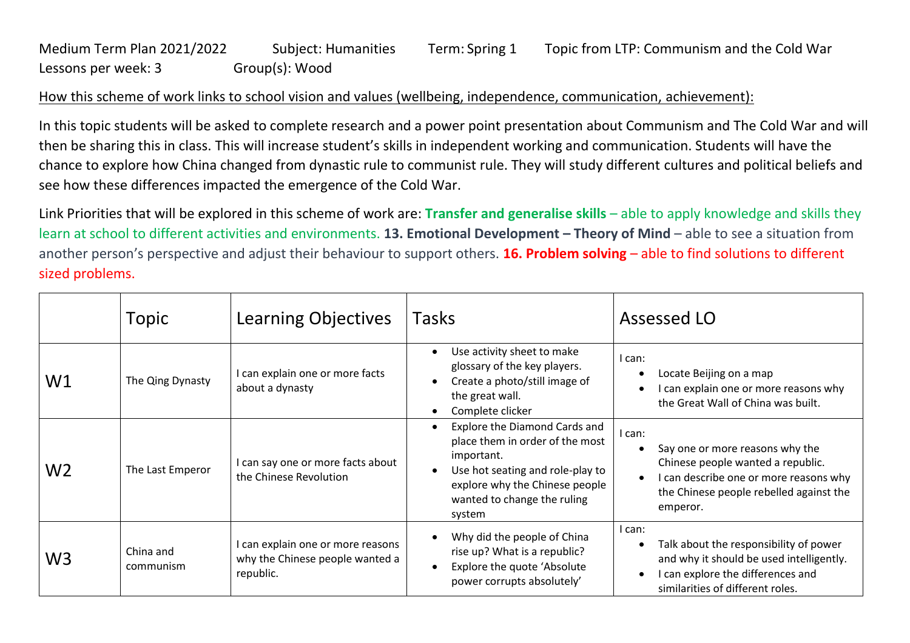## Medium Term Plan 2021/2022 Subject: Humanities Term: Spring 1 Topic from LTP: Communism and the Cold War Lessons per week: 3 Group(s): Wood

## How this scheme of work links to school vision and values (wellbeing, independence, communication, achievement):

In this topic students will be asked to complete research and a power point presentation about Communism and The Cold War and will then be sharing this in class. This will increase student's skills in independent working and communication. Students will have the chance to explore how China changed from dynastic rule to communist rule. They will study different cultures and political beliefs and see how these differences impacted the emergence of the Cold War.

Link Priorities that will be explored in this scheme of work are: **Transfer and generalise skills** – able to apply knowledge and skills they learn at school to different activities and environments. **13. Emotional Development – Theory of Mind** – able to see a situation from another person's perspective and adjust their behaviour to support others. **16. Problem solving** – able to find solutions to different sized problems.

|                | Topic                  | Learning Objectives                                                             | Tasks                                                                                                                                                                                         | Assessed LO                                                                                                                                                                                               |
|----------------|------------------------|---------------------------------------------------------------------------------|-----------------------------------------------------------------------------------------------------------------------------------------------------------------------------------------------|-----------------------------------------------------------------------------------------------------------------------------------------------------------------------------------------------------------|
| W1             | The Qing Dynasty       | can explain one or more facts<br>about a dynasty                                | Use activity sheet to make<br>glossary of the key players.<br>Create a photo/still image of<br>the great wall.<br>Complete clicker                                                            | l can:<br>Locate Beijing on a map<br>$\bullet$<br>can explain one or more reasons why<br>the Great Wall of China was built.                                                                               |
| W <sub>2</sub> | The Last Emperor       | can say one or more facts about<br>the Chinese Revolution                       | Explore the Diamond Cards and<br>place them in order of the most<br>important.<br>Use hot seating and role-play to<br>explore why the Chinese people<br>wanted to change the ruling<br>system | l can:<br>Say one or more reasons why the<br>$\bullet$<br>Chinese people wanted a republic.<br>I can describe one or more reasons why<br>$\bullet$<br>the Chinese people rebelled against the<br>emperor. |
| W <sub>3</sub> | China and<br>communism | can explain one or more reasons<br>why the Chinese people wanted a<br>republic. | Why did the people of China<br>rise up? What is a republic?<br>Explore the quote 'Absolute<br>power corrupts absolutely'                                                                      | I can:<br>Talk about the responsibility of power<br>$\bullet$<br>and why it should be used intelligently.<br>I can explore the differences and<br>$\bullet$<br>similarities of different roles.           |